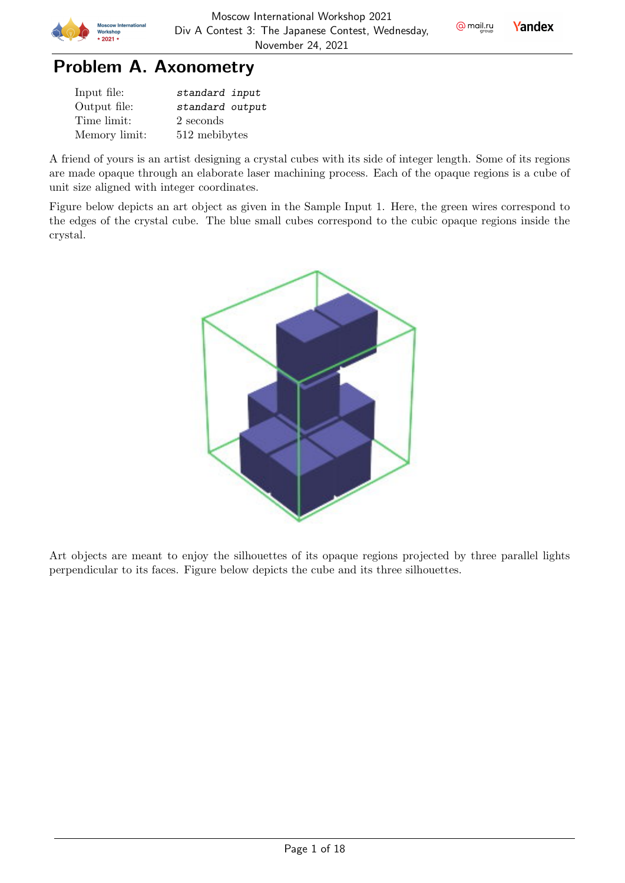

# Problem A. Axonometry

| Input file:   | standard input  |
|---------------|-----------------|
| Output file:  | standard output |
| Time limit:   | 2 seconds       |
| Memory limit: | 512 mebibytes   |

A friend of yours is an artist designing a crystal cubes with its side of integer length. Some of its regions are made opaque through an elaborate laser machining process. Each of the opaque regions is a cube of unit size aligned with integer coordinates.

Figure below depicts an art object as given in the Sample Input 1. Here, the green wires correspond to the edges of the crystal cube. The blue small cubes correspond to the cubic opaque regions inside the crystal.



Art objects are meant to enjoy the silhouettes of its opaque regions projected by three parallel lights perpendicular to its faces. Figure below depicts the cube and its three silhouettes.

 $Q$  mail.ru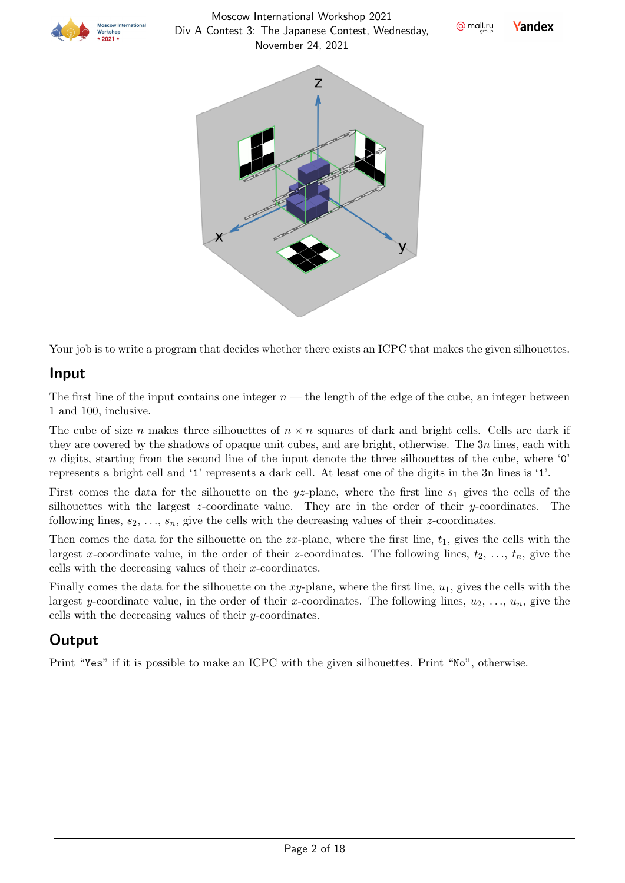







Your job is to write a program that decides whether there exists an ICPC that makes the given silhouettes.

#### Input

The first line of the input contains one integer  $n$  — the length of the edge of the cube, an integer between 1 and 100, inclusive.

The cube of size n makes three silhouettes of  $n \times n$  squares of dark and bright cells. Cells are dark if they are covered by the shadows of opaque unit cubes, and are bright, otherwise. The  $3n$  lines, each with  $n$  digits, starting from the second line of the input denote the three silhouettes of the cube, where '0' represents a bright cell and '1' represents a dark cell. At least one of the digits in the 3n lines is '1'.

First comes the data for the silhouette on the  $yz$ -plane, where the first line  $s_1$  gives the cells of the silhouettes with the largest  $z$ -coordinate value. They are in the order of their  $y$ -coordinates. The following lines,  $s_2, \ldots, s_n$ , give the cells with the decreasing values of their z-coordinates.

Then comes the data for the silhouette on the  $zx$ -plane, where the first line,  $t_1$ , gives the cells with the largest x-coordinate value, in the order of their z-coordinates. The following lines,  $t_2, \ldots, t_n$ , give the cells with the decreasing values of their  $x$ -coordinates.

Finally comes the data for the silhouette on the  $xy$ -plane, where the first line,  $u_1$ , gives the cells with the largest y-coordinate value, in the order of their x-coordinates. The following lines,  $u_2, \ldots, u_n$ , give the cells with the decreasing values of their  $y$ -coordinates.

## **Output**

Print "Yes" if it is possible to make an ICPC with the given silhouettes. Print "No", otherwise.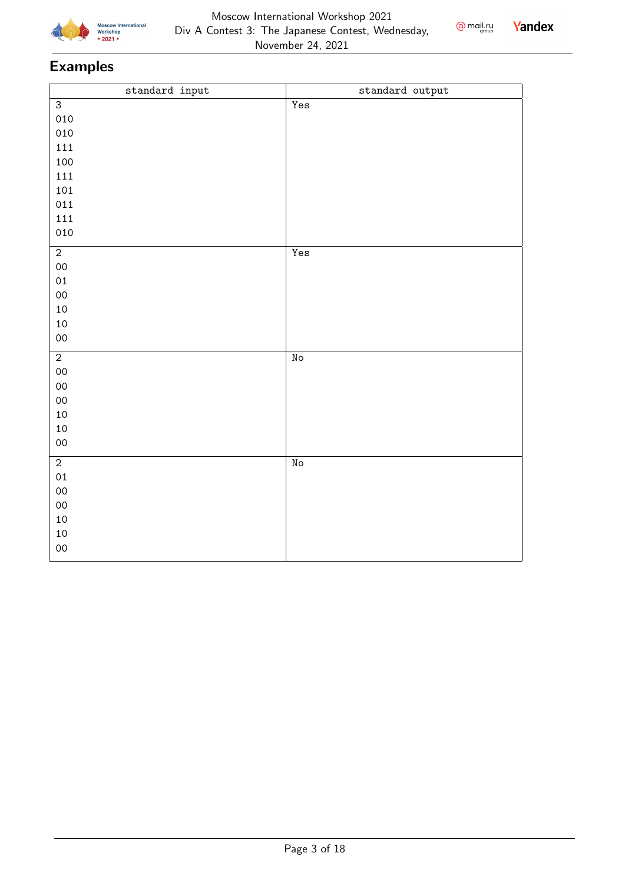



| standard input | standard output          |
|----------------|--------------------------|
| $\overline{3}$ | Yes                      |
| 010            |                          |
| 010            |                          |
| 111            |                          |
| 100            |                          |
| 111            |                          |
| 101            |                          |
| 011            |                          |
| 111            |                          |
| 010            |                          |
| $\overline{2}$ | Yes                      |
| $00\,$         |                          |
| 01             |                          |
| $00\,$         |                          |
| $10\,$         |                          |
| 10             |                          |
| $00\,$         |                          |
| $\overline{2}$ | $\overline{\texttt{No}}$ |
| $00\,$         |                          |
| $00\,$         |                          |
| $00\,$         |                          |
| $10\,$         |                          |
| $10\,$         |                          |
| $_{00}$        |                          |
| $\overline{2}$ | $\rm\thinspace No$       |
| 01             |                          |
| $00\,$         |                          |
| $00\,$         |                          |
| $10\,$         |                          |
| $10\,$         |                          |
| $00\,$         |                          |
|                |                          |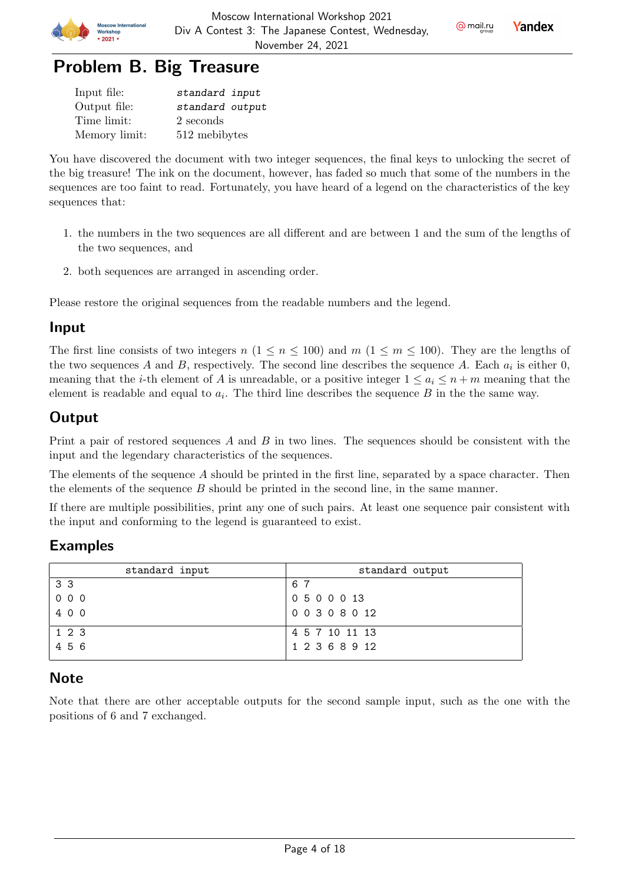

@ mail.ru

**Yandex** 



| Input file:   | standard input  |
|---------------|-----------------|
| Output file:  | standard output |
| Time limit:   | 2 seconds       |
| Memory limit: | 512 mebibytes   |

You have discovered the document with two integer sequences, the final keys to unlocking the secret of the big treasure! The ink on the document, however, has faded so much that some of the numbers in the sequences are too faint to read. Fortunately, you have heard of a legend on the characteristics of the key sequences that:

- 1. the numbers in the two sequences are all different and are between 1 and the sum of the lengths of the two sequences, and
- 2. both sequences are arranged in ascending order.

Please restore the original sequences from the readable numbers and the legend.

#### Input

The first line consists of two integers  $n (1 \le n \le 100)$  and  $m (1 \le m \le 100)$ . They are the lengths of the two sequences A and B, respectively. The second line describes the sequence A. Each  $a_i$  is either 0, meaning that the *i*-th element of A is unreadable, or a positive integer  $1 \leq a_i \leq n+m$  meaning that the element is readable and equal to  $a_i$ . The third line describes the sequence  $B$  in the the same way.

### **Output**

Print a pair of restored sequences  $A$  and  $B$  in two lines. The sequences should be consistent with the input and the legendary characteristics of the sequences.

The elements of the sequence  $A$  should be printed in the first line, separated by a space character. Then the elements of the sequence  $B$  should be printed in the second line, in the same manner.

If there are multiple possibilities, print any one of such pairs. At least one sequence pair consistent with the input and conforming to the legend is guaranteed to exist.

### Examples

| standard input | standard output |
|----------------|-----------------|
| 33             | 67              |
| 000            | 0 5 0 0 0 13    |
| 400            | 00308012        |
| 1 2 3          | 4 5 7 10 11 13  |
| 456            | 1 2 3 6 8 9 12  |

### Note

Note that there are other acceptable outputs for the second sample input, such as the one with the positions of 6 and 7 exchanged.

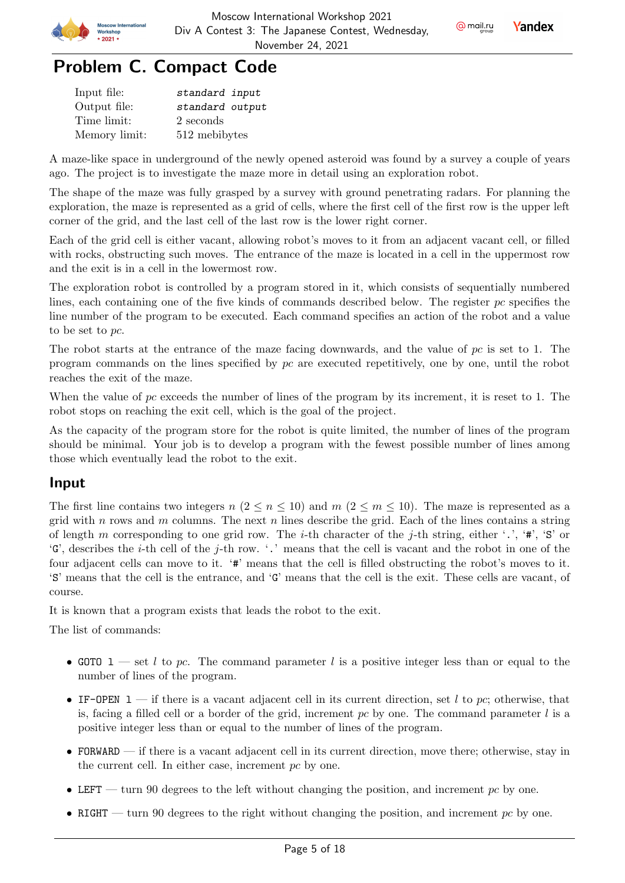



| Input file:   | standard input  |
|---------------|-----------------|
| Output file:  | standard output |
| Time limit:   | 2 seconds       |
| Memory limit: | 512 mebibytes   |

A maze-like space in underground of the newly opened asteroid was found by a survey a couple of years ago. The project is to investigate the maze more in detail using an exploration robot.

The shape of the maze was fully grasped by a survey with ground penetrating radars. For planning the exploration, the maze is represented as a grid of cells, where the first cell of the first row is the upper left corner of the grid, and the last cell of the last row is the lower right corner.

Each of the grid cell is either vacant, allowing robot's moves to it from an adjacent vacant cell, or filled with rocks, obstructing such moves. The entrance of the maze is located in a cell in the uppermost row and the exit is in a cell in the lowermost row.

The exploration robot is controlled by a program stored in it, which consists of sequentially numbered lines, each containing one of the five kinds of commands described below. The register  $pc$  specifies the line number of the program to be executed. Each command specifies an action of the robot and a value to be set to  $pc$ .

The robot starts at the entrance of the maze facing downwards, and the value of  $pc$  is set to 1. The program commands on the lines specified by  $pc$  are executed repetitively, one by one, until the robot reaches the exit of the maze.

When the value of  $pc$  exceeds the number of lines of the program by its increment, it is reset to 1. The robot stops on reaching the exit cell, which is the goal of the project.

As the capacity of the program store for the robot is quite limited, the number of lines of the program should be minimal. Your job is to develop a program with the fewest possible number of lines among those which eventually lead the robot to the exit.

### Input

The first line contains two integers  $n (2 \le n \le 10)$  and  $m (2 \le m \le 10)$ . The maze is represented as a grid with *n* rows and *m* columns. The next *n* lines describe the grid. Each of the lines contains a string of length m corresponding to one grid row. The *i*-th character of the *j*-th string, either '.', '#', 'S' or  $'G'$ , describes the *i*-th cell of the *j*-th row. '.' means that the cell is vacant and the robot in one of the four adjacent cells can move to it. '#' means that the cell is filled obstructing the robot's moves to it. 'S' means that the cell is the entrance, and 'G' means that the cell is the exit. These cells are vacant, of course.

It is known that a program exists that leads the robot to the exit.

The list of commands:

- GOTO 1 set *l* to pc. The command parameter *l* is a positive integer less than or equal to the number of lines of the program.
- IF-OPEN 1 if there is a vacant adjacent cell in its current direction, set l to pc; otherwise, that is, facing a filled cell or a border of the grid, increment  $pc$  by one. The command parameter l is a positive integer less than or equal to the number of lines of the program.
- FORWARD if there is a vacant adjacent cell in its current direction, move there; otherwise, stay in the current cell. In either case, increment  $pc$  by one.
- LEFT turn 90 degrees to the left without changing the position, and increment  $pc$  by one.
- RIGHT turn 90 degrees to the right without changing the position, and increment  $pc$  by one.

@ mail.ru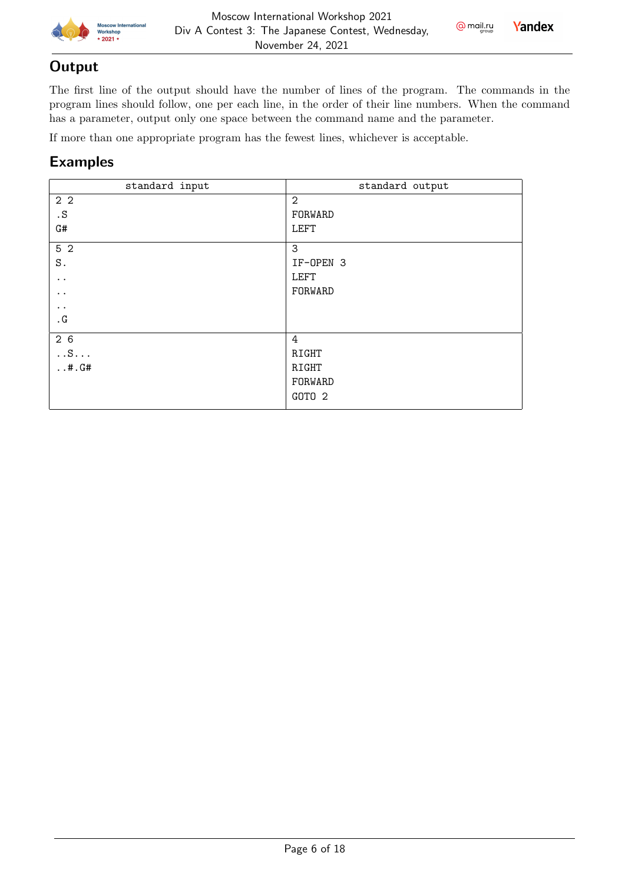

 $Q$  mail.ru **Yandex** 

#### **Output**

The first line of the output should have the number of lines of the program. The commands in the program lines should follow, one per each line, in the order of their line numbers. When the command has a parameter, output only one space between the command name and the parameter.

If more than one appropriate program has the fewest lines, whichever is acceptable.

| standard output   |
|-------------------|
| $\overline{2}$    |
| FORWARD           |
| <b>LEFT</b>       |
| 3                 |
| IF-OPEN 3         |
| <b>LEFT</b>       |
| FORWARD           |
|                   |
|                   |
| 4                 |
| RIGHT             |
| RIGHT             |
| FORWARD           |
| GOTO <sub>2</sub> |
|                   |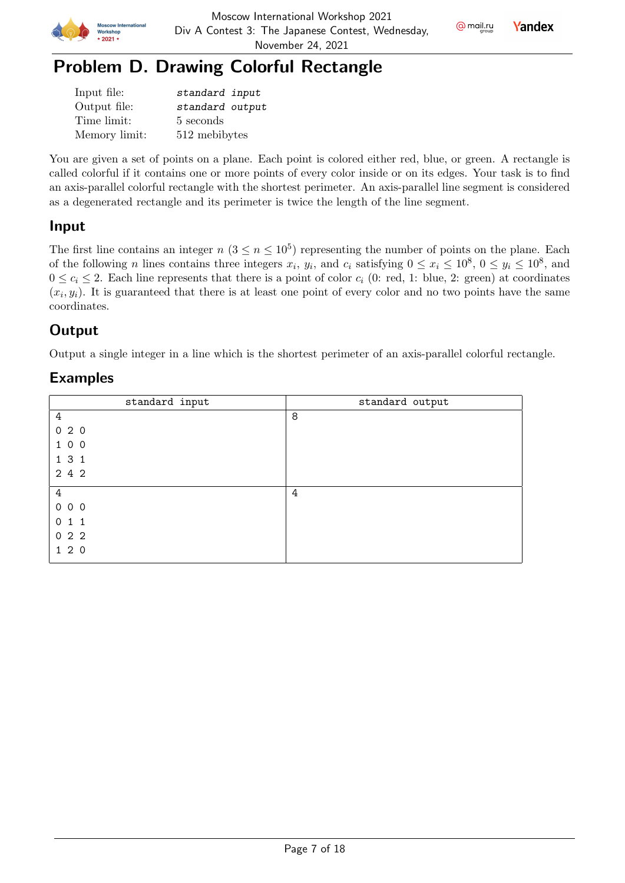



## Problem D. Drawing Colorful Rectangle

| Input file:   | standard input  |
|---------------|-----------------|
| Output file:  | standard output |
| Time limit:   | 5 seconds       |
| Memory limit: | 512 mebibytes   |

You are given a set of points on a plane. Each point is colored either red, blue, or green. A rectangle is called colorful if it contains one or more points of every color inside or on its edges. Your task is to find an axis-parallel colorful rectangle with the shortest perimeter. An axis-parallel line segment is considered as a degenerated rectangle and its perimeter is twice the length of the line segment.

### Input

The first line contains an integer  $n (3 \le n \le 10^5)$  representing the number of points on the plane. Each of the following *n* lines contains three integers  $x_i$ ,  $y_i$ , and  $c_i$  satisfying  $0 \le x_i \le 10^8$ ,  $0 \le y_i \le 10^8$ , and  $0 \leq c_i \leq 2$ . Each line represents that there is a point of color  $c_i$  (0: red, 1: blue, 2: green) at coordinates  $(x_i, y_i)$ . It is guaranteed that there is at least one point of every color and no two points have the same coordinates.

### **Output**

Output a single integer in a line which is the shortest perimeter of an axis-parallel colorful rectangle.

| standard input | standard output |
|----------------|-----------------|
| 4              | 8               |
| 020            |                 |
| 1 0 0          |                 |
| 131            |                 |
| 2 4 2          |                 |
| 4              | 4               |
|                |                 |
| 000            |                 |
| 011            |                 |
| 022            |                 |
| 120            |                 |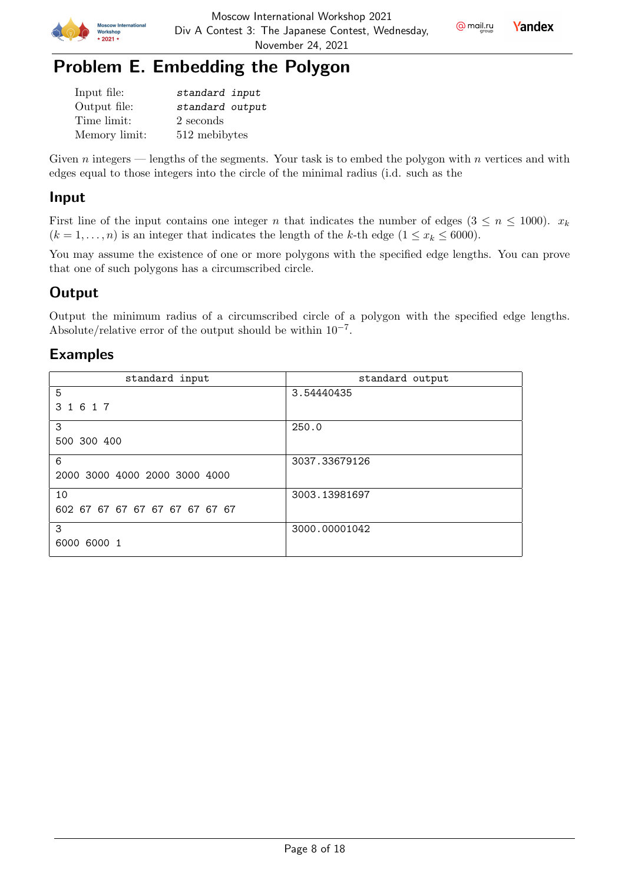



## Problem E. Embedding the Polygon

| Input file:   | standard input  |
|---------------|-----------------|
| Output file:  | standard output |
| Time limit:   | 2 seconds       |
| Memory limit: | 512 mebibytes   |

Given  $n$  integers — lengths of the segments. Your task is to embed the polygon with  $n$  vertices and with edges equal to those integers into the circle of the minimal radius (i.d. such as the

### Input

First line of the input contains one integer *n* that indicates the number of edges  $(3 \le n \le 1000)$ .  $x_k$  $(k = 1, \ldots, n)$  is an integer that indicates the length of the k-th edge  $(1 \leq x_k \leq 6000)$ .

You may assume the existence of one or more polygons with the specified edge lengths. You can prove that one of such polygons has a circumscribed circle.

### **Output**

Output the minimum radius of a circumscribed circle of a polygon with the specified edge lengths. Absolute/relative error of the output should be within  $10^{-7}$ .

| standard input                 | standard output |
|--------------------------------|-----------------|
| 5                              | 3.54440435      |
| 1 6 1 7<br>3                   |                 |
| 3                              | 250.0           |
| 500 300 400                    |                 |
| 6                              | 3037.33679126   |
| 2000 3000 4000 2000 3000 4000  |                 |
| 10                             | 3003.13981697   |
| 602 67 67 67 67 67 67 67 67 67 |                 |
| 3                              | 3000.00001042   |
| 6000 6000 1                    |                 |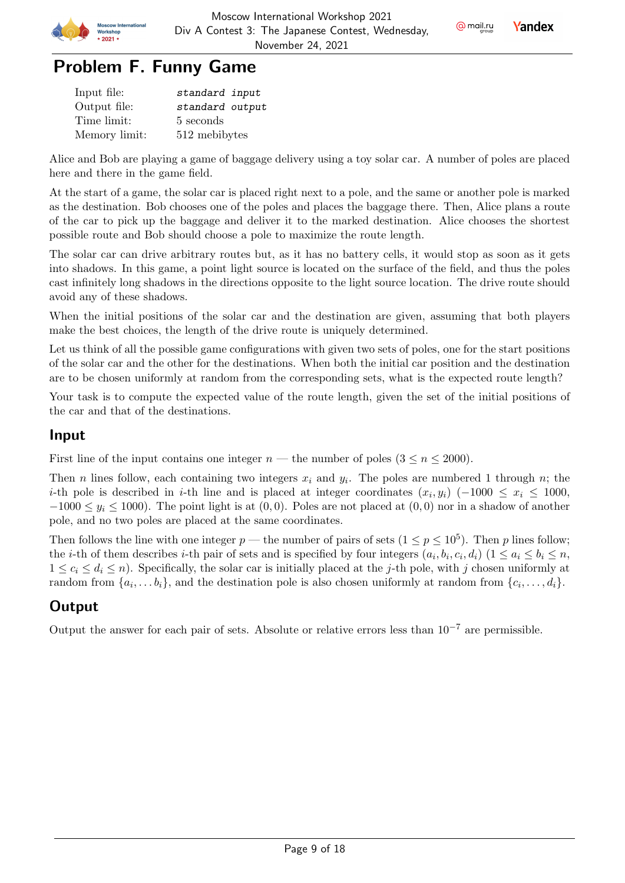



| Input file:   | standard input  |
|---------------|-----------------|
| Output file:  | standard output |
| Time limit:   | 5 seconds       |
| Memory limit: | 512 mebibytes   |

Alice and Bob are playing a game of baggage delivery using a toy solar car. A number of poles are placed here and there in the game field.

At the start of a game, the solar car is placed right next to a pole, and the same or another pole is marked as the destination. Bob chooses one of the poles and places the baggage there. Then, Alice plans a route of the car to pick up the baggage and deliver it to the marked destination. Alice chooses the shortest possible route and Bob should choose a pole to maximize the route length.

The solar car can drive arbitrary routes but, as it has no battery cells, it would stop as soon as it gets into shadows. In this game, a point light source is located on the surface of the field, and thus the poles cast infinitely long shadows in the directions opposite to the light source location. The drive route should avoid any of these shadows.

When the initial positions of the solar car and the destination are given, assuming that both players make the best choices, the length of the drive route is uniquely determined.

Let us think of all the possible game configurations with given two sets of poles, one for the start positions of the solar car and the other for the destinations. When both the initial car position and the destination are to be chosen uniformly at random from the corresponding sets, what is the expected route length?

Your task is to compute the expected value of the route length, given the set of the initial positions of the car and that of the destinations.

#### Input

First line of the input contains one integer  $n$  — the number of poles  $(3 \leq n \leq 2000)$ .

Then *n* lines follow, each containing two integers  $x_i$  and  $y_i$ . The poles are numbered 1 through *n*; the *i*-th pole is described in *i*-th line and is placed at integer coordinates  $(x_i, y_i)$  (-1000  $\leq x_i \leq 1000$ ,  $-1000 \le y_i \le 1000$ . The point light is at  $(0,0)$ . Poles are not placed at  $(0,0)$  nor in a shadow of another pole, and no two poles are placed at the same coordinates.

Then follows the line with one integer  $p$  — the number of pairs of sets  $(1 \le p \le 10^5)$ . Then p lines follow; the *i*-th of them describes *i*-th pair of sets and is specified by four integers  $(a_i, b_i, c_i, d_i)$   $(1 \le a_i \le b_i \le n,$  $1 \leq c_i \leq d_i \leq n$ . Specifically, the solar car is initially placed at the *j*-th pole, with *j* chosen uniformly at random from  $\{a_i, \ldots b_i\}$ , and the destination pole is also chosen uniformly at random from  $\{c_i, \ldots, d_i\}$ .

### Output

Output the answer for each pair of sets. Absolute or relative errors less than  $10^{-7}$  are permissible.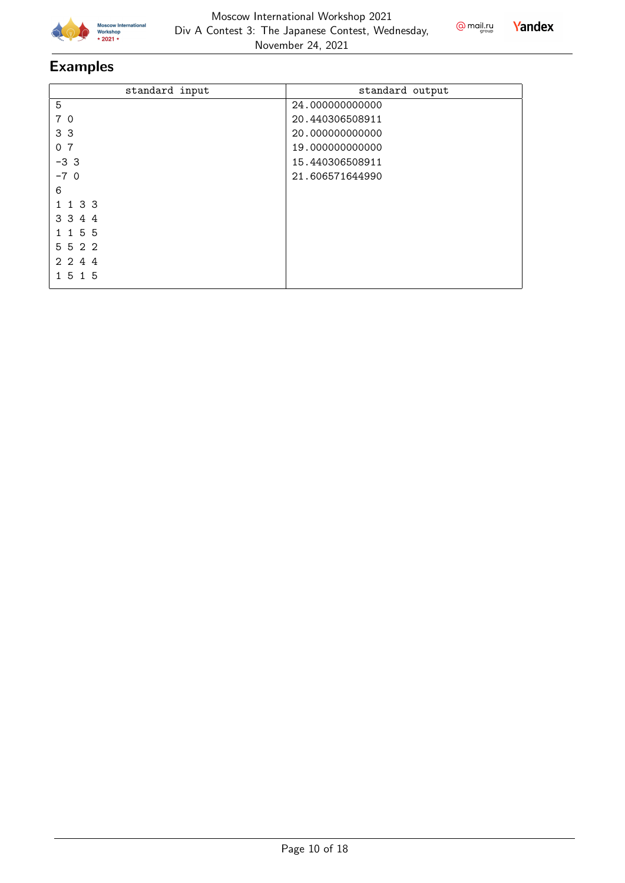



| standard input           | standard output |
|--------------------------|-----------------|
| 5                        | 24.000000000000 |
| 7 0                      | 20.440306508911 |
| 3 <sub>3</sub>           | 20.00000000000  |
| 7<br>0                   | 19.000000000000 |
| $-33$                    | 15.440306508911 |
| $-70$                    | 21.606571644990 |
| 6                        |                 |
| 133                      |                 |
| 3 3 4 4                  |                 |
| 155                      |                 |
| 5522                     |                 |
| 2 2 4 4                  |                 |
| -5<br>15<br>$\mathbf{1}$ |                 |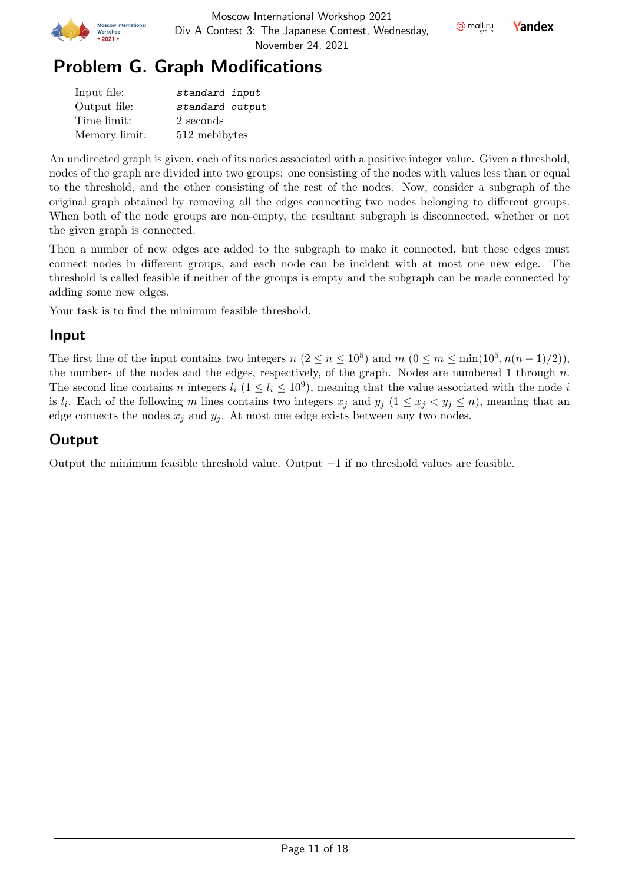



| Input file:   | standard input  |
|---------------|-----------------|
| Output file:  | standard output |
| Time limit:   | 2 seconds       |
| Memory limit: | 512 mebibytes   |

An undirected graph is given, each of its nodes associated with a positive integer value. Given a threshold, nodes of the graph are divided into two groups: one consisting of the nodes with values less than or equal to the threshold, and the other consisting of the rest of the nodes. Now, consider a subgraph of the original graph obtained by removing all the edges connecting two nodes belonging to different groups. When both of the node groups are non-empty, the resultant subgraph is disconnected, whether or not the given graph is connected.

Then a number of new edges are added to the subgraph to make it connected, but these edges must connect nodes in different groups, and each node can be incident with at most one new edge. The threshold is called feasible if neither of the groups is empty and the subgraph can be made connected by adding some new edges.

Your task is to find the minimum feasible threshold.

### Input

The first line of the input contains two integers  $n (2 \le n \le 10^5)$  and  $m (0 \le m \le \min(10^5, n(n-1)/2))$ , the numbers of the nodes and the edges, respectively, of the graph. Nodes are numbered 1 through  $n$ . The second line contains *n* integers  $l_i$  ( $1 \leq l_i \leq 10^9$ ), meaning that the value associated with the node *i* is  $l_i$ . Each of the following m lines contains two integers  $x_j$  and  $y_j$   $(1 \le x_j < y_j \le n)$ , meaning that an edge connects the nodes  $x_j$  and  $y_j$ . At most one edge exists between any two nodes.

### **Output**

Output the minimum feasible threshold value. Output  $-1$  if no threshold values are feasible.

@ mail.ru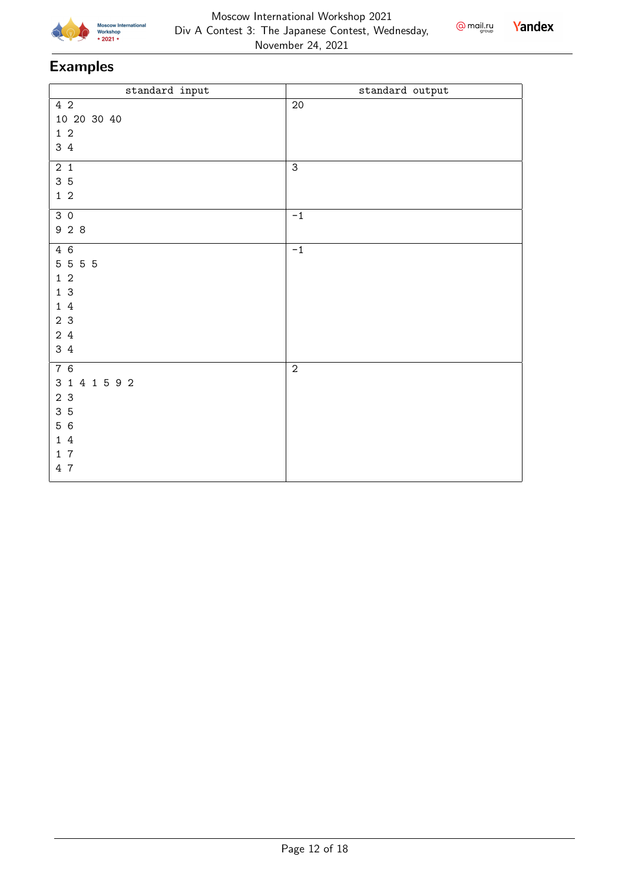





| standard input   | standard output |
|------------------|-----------------|
| 4 2              | $20\,$          |
| 10 20 30 40      |                 |
| $1\,2$           |                 |
| 3 4              |                 |
| $2\quad1$        | $\mathsf 3$     |
| 35               |                 |
| $1\quad2$        |                 |
|                  |                 |
| 30               | $^{\rm -1}$     |
| 9 2 8            |                 |
| 4 6              | $-1$            |
| 5 5 5 5          |                 |
| $1\quad2$        |                 |
| 13               |                 |
| 14               |                 |
| 2 <sub>3</sub>   |                 |
| 2 4              |                 |
| 3 4              |                 |
| $\overline{7}$ 6 | $\overline{2}$  |
| 3 1 4 1 5 9 2    |                 |
| 2 <sub>3</sub>   |                 |
| 35               |                 |
| 5 6              |                 |
| 14               |                 |
| 17               |                 |
| 4 7              |                 |
|                  |                 |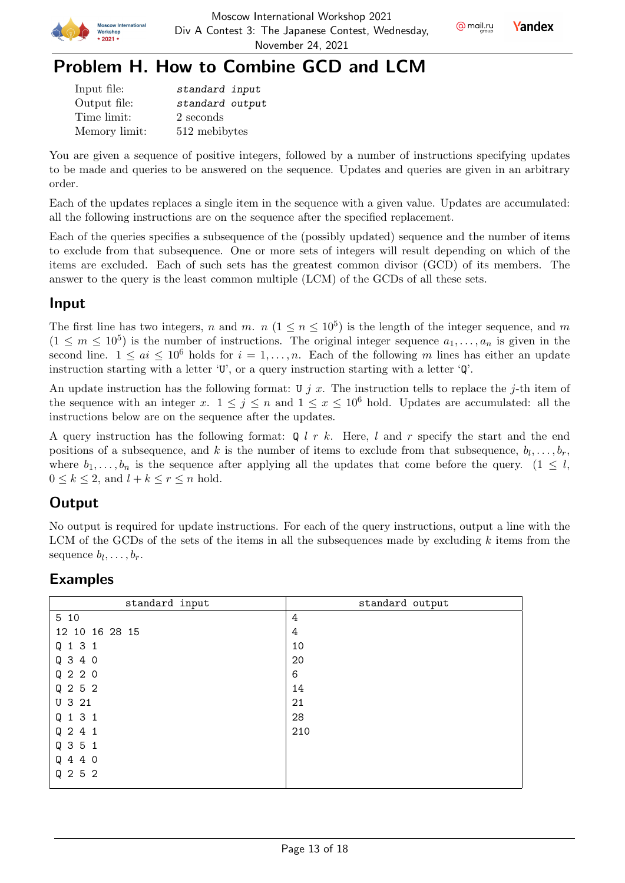





## Problem H. How to Combine GCD and LCM

| Input file:   | standard input  |
|---------------|-----------------|
| Output file:  | standard output |
| Time limit:   | 2 seconds       |
| Memory limit: | 512 mebibytes   |

You are given a sequence of positive integers, followed by a number of instructions specifying updates to be made and queries to be answered on the sequence. Updates and queries are given in an arbitrary order.

Each of the updates replaces a single item in the sequence with a given value. Updates are accumulated: all the following instructions are on the sequence after the specified replacement.

Each of the queries specifies a subsequence of the (possibly updated) sequence and the number of items to exclude from that subsequence. One or more sets of integers will result depending on which of the items are excluded. Each of such sets has the greatest common divisor (GCD) of its members. The answer to the query is the least common multiple (LCM) of the GCDs of all these sets.

#### Input

The first line has two integers, n and m.  $n (1 \le n \le 10^5)$  is the length of the integer sequence, and m  $(1 \leq m \leq 10^5)$  is the number of instructions. The original integer sequence  $a_1, \ldots, a_n$  is given in the second line.  $1 \leq ai \leq 10^6$  holds for  $i = 1, ..., n$ . Each of the following m lines has either an update instruction starting with a letter  $\mathbf{U}'$ , or a query instruction starting with a letter  $\mathbf{Q}'$ .

An update instruction has the following format: U  $j$  x. The instruction tells to replace the j-th item of the sequence with an integer x.  $1 \leq j \leq n$  and  $1 \leq x \leq 10^6$  hold. Updates are accumulated: all the instructions below are on the sequence after the updates.

A query instruction has the following format:  $Q l r k$ . Here, l and r specify the start and the end positions of a subsequence, and k is the number of items to exclude from that subsequence,  $b_l, \ldots, b_r$ , where  $b_1, \ldots, b_n$  is the sequence after applying all the updates that come before the query. (1  $\leq l$ ,  $0 \leq k \leq 2$ , and  $l + k \leq r \leq n$  hold.

### **Output**

No output is required for update instructions. For each of the query instructions, output a line with the LCM of the GCDs of the sets of the items in all the subsequences made by excluding  $k$  items from the sequence  $b_l, \ldots, b_r$ .

| standard input | standard output |
|----------------|-----------------|
| 5 10           | 4               |
| 12 10 16 28 15 | 4               |
| Q 1 3 1        | 10              |
| Q 3 4 0        | 20              |
| Q 2 2 0        | 6               |
| Q 2 5 2        | 14              |
| U 3 21         | 21              |
| Q 1 3 1        | 28              |
| Q 2 4 1        | 210             |
| Q 3 5 1        |                 |
| Q 4 4 0        |                 |
| Q 2 5 2        |                 |
|                |                 |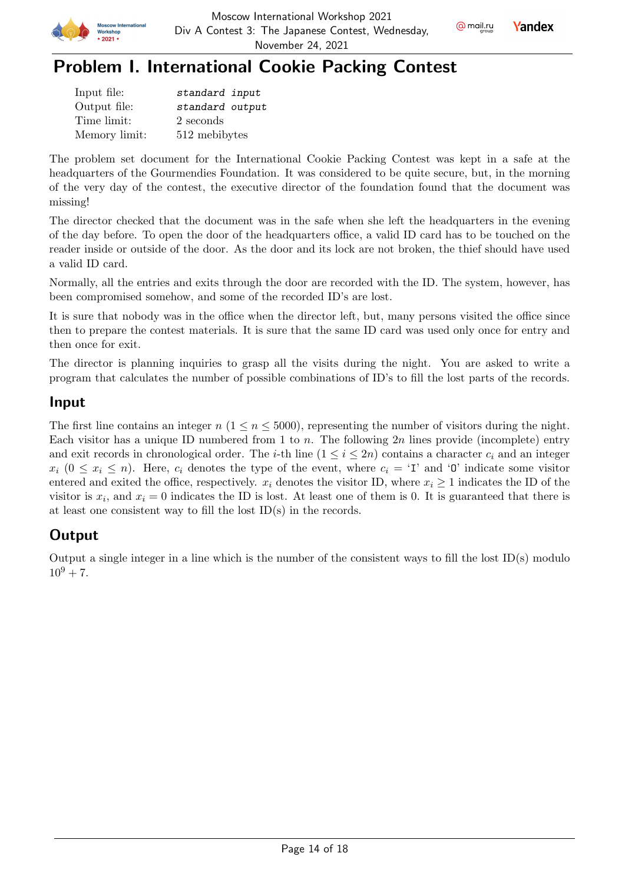



## Problem I. International Cookie Packing Contest

| Input file:   | standard input  |
|---------------|-----------------|
| Output file:  | standard output |
| Time limit:   | 2 seconds       |
| Memory limit: | 512 mebibytes   |

The problem set document for the International Cookie Packing Contest was kept in a safe at the headquarters of the Gourmendies Foundation. It was considered to be quite secure, but, in the morning of the very day of the contest, the executive director of the foundation found that the document was missing!

The director checked that the document was in the safe when she left the headquarters in the evening of the day before. To open the door of the headquarters office, a valid ID card has to be touched on the reader inside or outside of the door. As the door and its lock are not broken, the thief should have used a valid ID card.

Normally, all the entries and exits through the door are recorded with the ID. The system, however, has been compromised somehow, and some of the recorded ID's are lost.

It is sure that nobody was in the office when the director left, but, many persons visited the office since then to prepare the contest materials. It is sure that the same ID card was used only once for entry and then once for exit.

The director is planning inquiries to grasp all the visits during the night. You are asked to write a program that calculates the number of possible combinations of ID's to fill the lost parts of the records.

### Input

The first line contains an integer  $n (1 \le n \le 5000)$ , representing the number of visitors during the night. Each visitor has a unique ID numbered from 1 to n. The following  $2n$  lines provide (incomplete) entry and exit records in chronological order. The *i*-th line  $(1 \le i \le 2n)$  contains a character  $c_i$  and an integer  $x_i$   $(0 \le x_i \le n)$ . Here,  $c_i$  denotes the type of the event, where  $c_i = 'I'$  and '0' indicate some visitor entered and exited the office, respectively.  $x_i$  denotes the visitor ID, where  $x_i \geq 1$  indicates the ID of the visitor is  $x_i$ , and  $x_i = 0$  indicates the ID is lost. At least one of them is 0. It is guaranteed that there is at least one consistent way to fill the lost ID(s) in the records.

### Output

Output a single integer in a line which is the number of the consistent ways to fill the lost ID(s) modulo  $10^9 + 7.$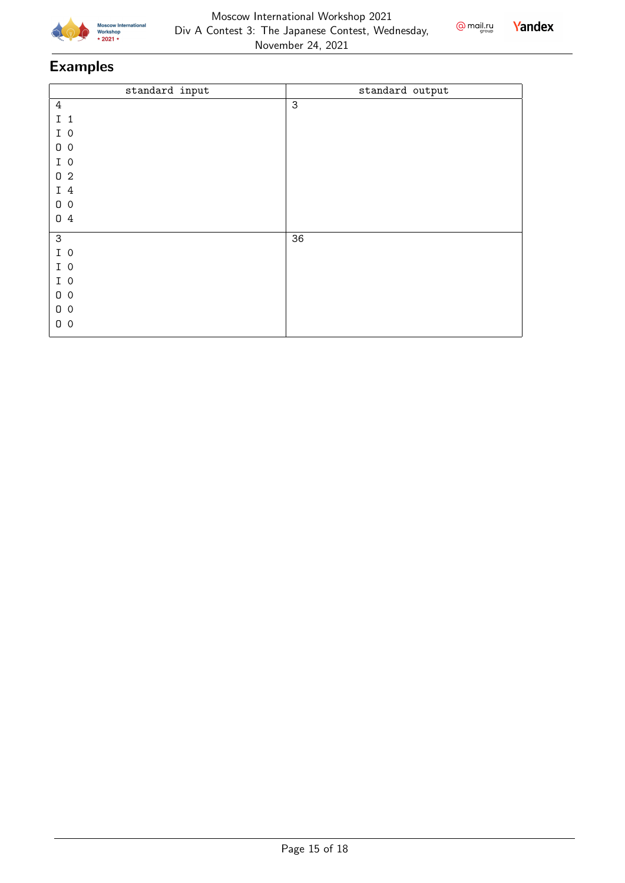



| standard output |
|-----------------|
| $\mathbf{3}$    |
|                 |
|                 |
|                 |
|                 |
|                 |
|                 |
|                 |
|                 |
| 36              |
|                 |
|                 |
|                 |
|                 |
|                 |
|                 |
|                 |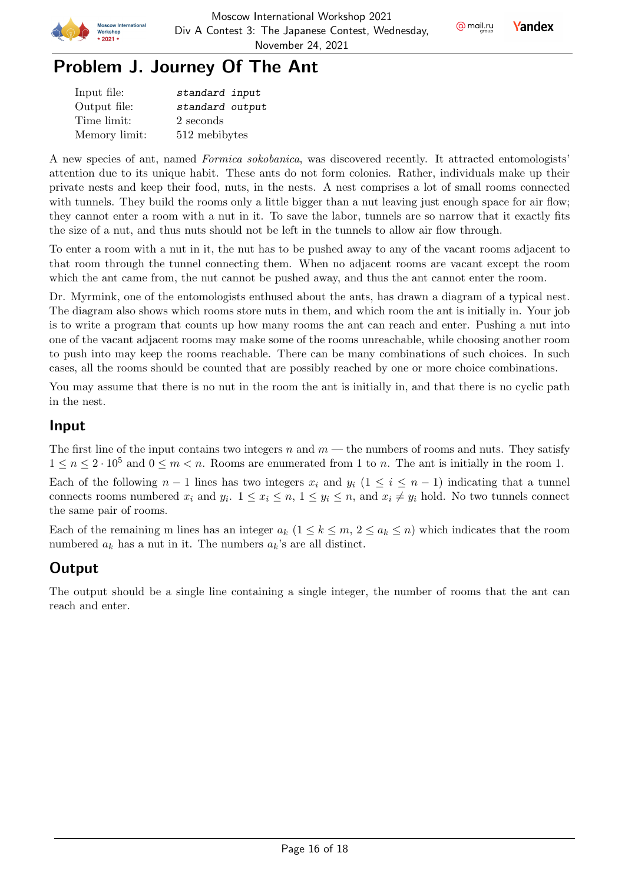

@ mail.ru

Yandex



| Input file:   | standard input  |
|---------------|-----------------|
| Output file:  | standard output |
| Time limit:   | 2 seconds       |
| Memory limit: | 512 mebibytes   |

A new species of ant, named Formica sokobanica, was discovered recently. It attracted entomologists' attention due to its unique habit. These ants do not form colonies. Rather, individuals make up their private nests and keep their food, nuts, in the nests. A nest comprises a lot of small rooms connected with tunnels. They build the rooms only a little bigger than a nut leaving just enough space for air flow; they cannot enter a room with a nut in it. To save the labor, tunnels are so narrow that it exactly fits the size of a nut, and thus nuts should not be left in the tunnels to allow air flow through.

To enter a room with a nut in it, the nut has to be pushed away to any of the vacant rooms adjacent to that room through the tunnel connecting them. When no adjacent rooms are vacant except the room which the ant came from, the nut cannot be pushed away, and thus the ant cannot enter the room.

Dr. Myrmink, one of the entomologists enthused about the ants, has drawn a diagram of a typical nest. The diagram also shows which rooms store nuts in them, and which room the ant is initially in. Your job is to write a program that counts up how many rooms the ant can reach and enter. Pushing a nut into one of the vacant adjacent rooms may make some of the rooms unreachable, while choosing another room to push into may keep the rooms reachable. There can be many combinations of such choices. In such cases, all the rooms should be counted that are possibly reached by one or more choice combinations.

You may assume that there is no nut in the room the ant is initially in, and that there is no cyclic path in the nest.

#### Input

The first line of the input contains two integers  $n$  and  $m$  — the numbers of rooms and nuts. They satisfy  $1 \leq n \leq 2 \cdot 10^5$  and  $0 \leq m \leq n$ . Rooms are enumerated from 1 to n. The ant is initially in the room 1.

Each of the following  $n-1$  lines has two integers  $x_i$  and  $y_i$   $(1 \leq i \leq n-1)$  indicating that a tunnel connects rooms numbered  $x_i$  and  $y_i$ .  $1 \le x_i \le n$ ,  $1 \le y_i \le n$ , and  $x_i \ne y_i$  hold. No two tunnels connect the same pair of rooms.

Each of the remaining m lines has an integer  $a_k$   $(1 \leq k \leq m, 2 \leq a_k \leq n)$  which indicates that the room numbered  $a_k$  has a nut in it. The numbers  $a_k$ 's are all distinct.

### **Output**

The output should be a single line containing a single integer, the number of rooms that the ant can reach and enter.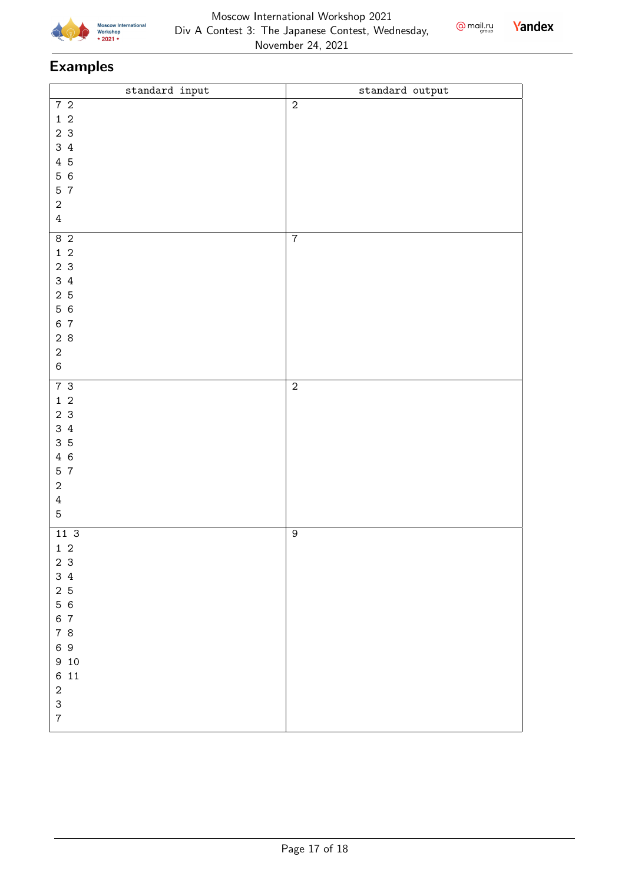



| $\operatorname{\mathsf{standard}}\nolimits$ input                                                                                                                         | $\texttt{standard}$ $\texttt{output}$ |
|---------------------------------------------------------------------------------------------------------------------------------------------------------------------------|---------------------------------------|
| 72<br>$1\,$ 2<br>2 <sub>3</sub><br>34<br>4 5<br>56<br>5 7<br>$\sqrt{2}$<br>$\ensuremath{4}$                                                                               | $\sqrt{2}$                            |
| 8 <sup>2</sup><br>$1\quad2$<br>2 <sub>3</sub><br>34<br>2 <sub>5</sub><br>56<br>6 7<br>28<br>$\boldsymbol{2}$<br>$\,6\,$                                                   | $\boldsymbol{7}$                      |
| 73<br>$1\,$ 2<br>2 <sub>3</sub><br>34<br>35<br>4 6<br>5 7<br>$\sqrt{2}$<br>$\ensuremath{4}$<br>5                                                                          | $\overline{2}$                        |
| 11 <sup>3</sup><br>$1\,$ $2\,$<br>$23$<br>$3\,$ 4<br>2 <sub>5</sub><br>56<br>6 7<br>78<br>69<br>9 10<br>6 11<br>$\sqrt{2}$<br>$\ensuremath{\mathsf{3}}$<br>$\overline{7}$ | $\boldsymbol{9}$                      |